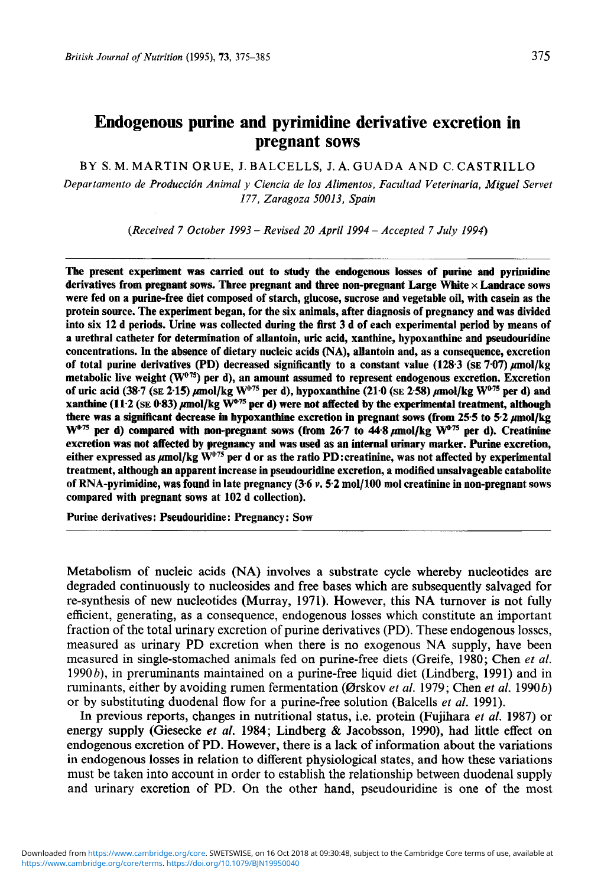# **Endogenous purine and pyrimidine derivative excretion in pregnant sows**

BY S. M. MARTIN **ORUE,** J. BALCELLS, J. A. GUADA AND C. CASTRILLO

*Departamento de Produccidn Animal y Ciencia de 10s Alimentos, Facultad Veterinaria, Miguel Servet 177, Zaragoza 50013, Spain* 

*(Received 7 October 1993* - *Revised 20 April 1994* - *Accepted 7 July 1994)* 

The present experiment was carried out to study the endogenous losses of purine and pyrimidine derivatives from pregnant sows. Three pregnant and three non-pregnant Large White  $\times$  Landrace sows were fed on a purine-free diet composed of starch, glucose, sucrose and vegetable oil, with casein **as** the protein source. The experiment began, for the six animals, after diagnosis of pregnancy and was divided into six 12 d periods. Urine was collected during the first 3 d of each experimental period by means of a urethral catheter for determination of allantoin, uric acid, xanthine, hypoxanthine and pseudouridine concentrations. In the absence of dietary nucleic acids (NA), allantoin and, as a consequence, excretion of total purine derivatives (PD) decreased significantly to a constant value (128.3 **(SE 7.07)** ,umol/kg metabolic live weight **(W"75)** per d), an amount assumed to represent endogenous excretion. Excretion of uric acid (38.7 (SE 2.15)  $\mu$ mol/kg W<sup>0.75</sup> per d), hypoxanthine (21.0 (SE 2.58)  $\mu$ mol/kg W<sup>0.75</sup> per d) and xanthine **(11-2 (SE** 0.83) pmol/kg **W@"** per d) were not affected by the experimental treatment, **although**  there was a significant decrease *in* hypoxanthine excretion in pregnant sows (from **25.5** to **5.2 pnol/kg**  W<sup>075</sup> per d) compared with non-pregnant sows (from 26.7 to 44.8  $\mu$ mol/kg W<sup>075</sup> per d). Creatinine excretion was not affected by pregnancy and was used **as** an internal urinary marker. Purine excretion, either expressed as pmol/kg **WoT5** per d or as the ratio PD:creatinine, was not affected by experimental treatment, although an apparent increase in pseudouridine excretion, a modified unsalvageable catabolite of RNA-pyrimidine, was found in late pregnancy **(3.6** *v.* **5.2** mo1/100 mol creatinine in non-pregnant sows compared with pregnant sows at 102 d collection).

Purine derivatives: Pseudouridine: Pregnancy: Sow

Metabolism of nucleic acids **(NA)** involves a substrate cycle whereby nucleotides are degraded continuously to nucleosides and free bases which are subsequently salvaged for re-synthesis of new nucleotides (Murray, 1971). However, this NA turnover is not fully efficient, generating, as a consequence, endogenous losses which constitute an important fraction of the total urinary excretion of purine derivatives (PD). These endogenous losses, measured as urinary PD excretion when there is no exogenous **NA** supply, have been measured in single-stomached animals fed on purine-free diets (Greife, 1980; Chen *et al.*  1990b), in preruminants maintained on a purine-free liquid diet (Lindberg, 1991) and in ruminants, either by avoiding rumen fermentation (Orskov *et al.* 1979; Chen *et* al. 1990b) or by substituting duodenal flow for a purine-free solution (Balcells *et al.* 1991).

In previous reports, changes in nutritional status, i.e. protein (Fujihara *et al.* 1987) or energy supply (Giesecke *et al.* 1984; Lindberg & Jacobsson, 1990), had little effect on endogenous excretion of PD. However, there is a lack of information about the variations in endogenous losses in relation to different physiological states, and how these variations must be taken into account in order to establish the relationship between duodenal supply and urinary excretion of PD. On the other hand, pseudouridine is one of the most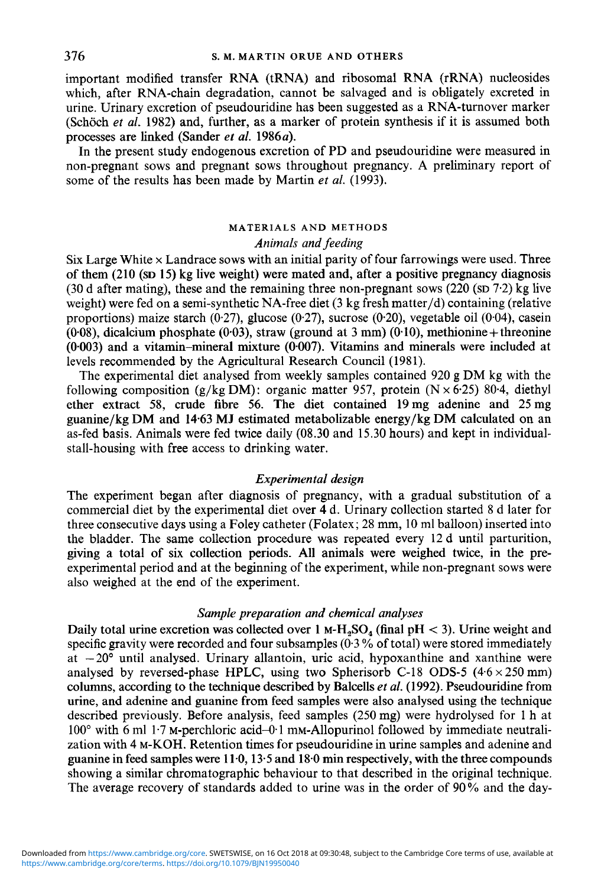important modified transfer RNA (tRNA) and ribosomal RNA (rRNA) nucleosides which, after RNA-chain degradation, cannot be salvaged and is obligately excreted in urine. Urinary excretion of pseudouridine has been suggested as a RNA-turnover marker (Schöch *et al.* 1982) and, further, as a marker of protein synthesis if it is assumed both processes are linked (Sander *et al.* 1986a).

In the present study endogenous excretion of PD and pseudouridine were measured in non-pregnant sows and pregnant sows throughout pregnancy. A preliminary report of some of the results has been made by Martin *et al.* (1993).

# MATERIALS AND METHODS *Animals and feeding*

 $Six Large White × Landrace$  sows with an initial parity of four farrowings were used. Three **of** them (210 **(SD** 15) **kg** live weight) were mated and, after a positive pregnancy diagnosis (30 d after mating), these and the remaining three non-pregnant sows  $(220 \text{ (sD } 7.2) \text{ kg}$  live weight) were fed on a semi-synthetic NA-free diet (3 kg fresh matter/d) containing (relative proportions) maize starch (0.27), glucose (0.27), sucrose (0.20), vegetable oil (0.04), casein **(0.08),** dicalcium phosphate (0.03), straw (ground at 3 mm) (0.10), methionine + threonine  $(0.003)$  and a vitamin-mineral mixture  $(0.007)$ . Vitamins and minerals were included at levels recommended by the Agricultural Research Council (1981).

The experimental diet analysed from weekly samples contained 920 **g** DM kg with the following composition  $(g/kg DM)$ : organic matter 957, protein  $(N \times 6.25)$  80.4, diethyl ether extract 58, crude fibre *56.* The diet contained 19mg adenine and 25mg guanine/kg **DM** and 14.63 **MJ** estimated metabolizable energy/kg DM calculated on an as-fed basis. Animals were fed twice daily (08.30 and 15.30 hours) and kept in individualstall-housing with free access to drinking water.

### *Experimental design*

The experiment began after diagnosis of pregnancy, with a gradual substitution of a commercial diet by the experimental diet over **4** d. Urinary collection started 8 d later for three consecutive days using a Foley catheter (Folatex; **28** mm, 10 ml balloon) inserted into the bladder. The same collection procedure was repeated every 12 d until parturition, giving a total of six collection periods. All animals were weighed twice, in the preexperimental period and at the beginning of the experiment, while non-pregnant sows were also weighed at the end of the experiment.

# *Sample preparation and chemical analyses*

Daily total urine excretion was collected over  $1 \text{ M-H}_2\text{SO}_4$  (final pH  $\lt 3$ ). Urine weight and specific gravity were recorded and four subsamples  $(0.3\%$  of total) were stored immediately at  $-20^\circ$  until analysed. Urinary allantoin, uric acid, hypoxanthine and xanthine were analysed by reversed-phase **HPLC**, using two Spherisorb C-18 ODS-5  $(4.6 \times 250 \text{ mm})$ columns, according to the technique described by Balcells *et al.* (1992). Pseudouridine from urine, and adenine and guanine from feed samples were also analysed using the technique described previously. Before analysis, feed samples (250 mg) were hydrolysed for 1 h at 100° with 6 ml 1<sup>-7</sup> M-perchloric acid-0<sup>-1</sup> mM-Allopurinol followed by immediate neutralization with 4 M-KOH. Retention times for pseudouridine in urine samples and adenine and guanine in feed samples were 11-0,13.5 and 18.0 min respectively, with the three compounds showing a similar chromatographic behaviour to that described in the original technique. The average recovery of standards added to urine was in the order of 90% and the day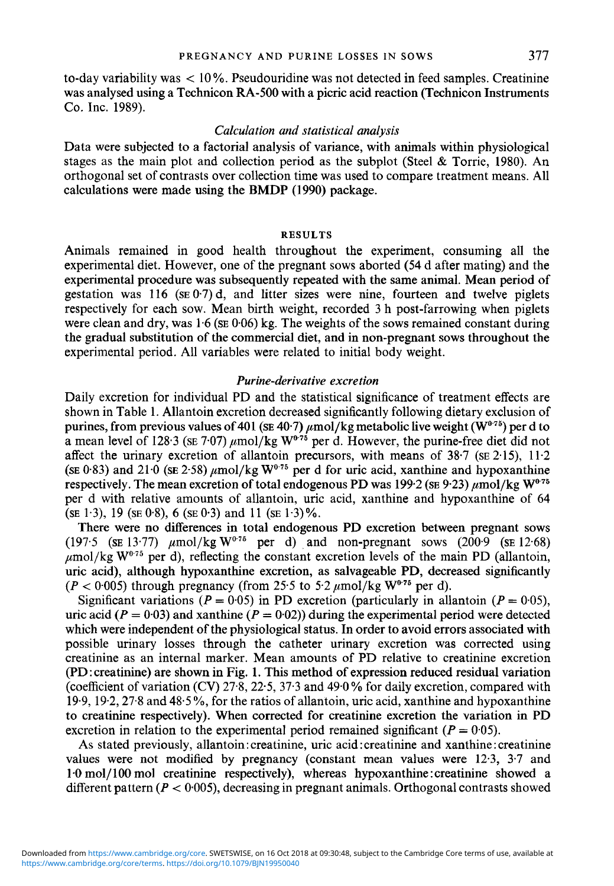to-day variability was  $< 10\%$ . Pseudouridine was not detected in feed samples. Creatinine was analysed using a Technicon **RA-500** with a picric acid reaction (Technicon Instruments Co. Inc. **1989).** 

## *Calculation and statistical analysis*

Data were subjected to a factorial analysis of variance, with animals within physiological stages as the main plot and collection period as the subplot (Steel & Torrie, **1980).** An orthogonal set of contrasts over collection time was used to compare treatment means. All calculations were made using the BMDP **(1990)** package.

### **RESULTS**

Animals remained in good health throughout the experiment, consuming all the experimental diet. However, one of the pregnant sows aborted **(54** d after mating) and the experimental procedure was subsequently repeated with the same animal. Mean period of gestation was **116 (SE** 07) d, and litter sizes were nine, fourteen and twelve piglets respectively for each sow. Mean birth weight, recorded **3** h post-farrowing when piglets were clean and dry, was **1.6 (SE 0.06)** kg. The weights of the sows remained constant during the gradual substitution of the commercial diet, and in non-pregnant sows throughout the experimental period. All variables were related to initial body weight.

### *Purine-derivative excretion*

Daily excretion for individual PD and the statistical significance of treatment effects are shown in Table 1. Allantoin excretion decreased significantly following dietary exclusion of purines, from previous values of 401 (se 40·7)  $\mu$ mol/kg metabolic live weight (W<sup>0-75</sup>) per d to a mean level of 128.3 (SE 7.07)  $\mu$ mol/kg W<sup>0.75</sup> per d. However, the purine-free diet did not affect the urinary excretion of allantoin precursors, with means of **38.7 (SE 2.15), 11.2 (SE 0.83)** and 21.0 **(SE 2.58)**  $\mu$ mol/kg  $W^{0.75}$  per d for uric acid, xanthine and hypoxanthine respectively. The mean excretion of total endogenous PD was  $199.2$  (SE 9.23)  $\mu$ mol/kg W<sup>0.75</sup> per d with relative amounts of allantoin, uric acid, xanthine and hypoxanthine of **64**   $(SE \ 1.3), 19$  ( $SE \ 0.8$ ), 6 ( $SE \ 0.3$ ) and 11 ( $SE \ 1.3$ )%.

There were no differences in total endogenous PD excretion between pregnant sows **(197.5** (SE 13.77)  $\mu$ mol/kg  $W^{0.75}$  per d) and non-pregnant sows  $(200.9)$  (SE 12.68)  $\mu$ mol/kg W<sup>0.75</sup> per d), reflecting the constant excretion levels of the main PD (allantoin, uric acid), although hypoxanthine excretion, as salvageable PD, decreased significantly  $(P < 0.005)$  through pregnancy (from 25.5 to 5.2  $\mu$ mol/kg W<sup>0.75</sup> per d).

Significant variations ( $P = 0.05$ ) in PD excretion (particularly in allantoin ( $P = 0.05$ ), uric acid ( $P = 0.03$ ) and xanthine ( $P = 0.02$ )) during the experimental period were detected which were independent of the physiological status. In order to avoid errors associated with possible urinary losses through the catheter urinary excretion was corrected using creatinine as an internal marker. Mean amounts of PD relative to creatinine excretion (PD : creatinine) are shown in Fig. **1.** This method of expression reduced residual variation (coefficient of variation (CV) 27.8, 22.5, 37.3 and 49.0% for daily excretion, compared with **19.9, 19.2,27.8** and **48.5** %, for the ratios of allantoin, uric acid, xanthine and hypoxanthine to creatinine respectively). When corrected for creatinine excretion the variation in PD excretion in relation to the experimental period remained significant  $(P = 0.05)$ .

As stated previously, allantoin: creatinine, uric acid : creatinine and xanthine : creatinine values were not modified by pregnancy (constant mean values were **12.3, 3.7** and 1.0 mol/100 mol creatinine respectively), whereas hypoxanthine: creatinine showed a different pattern ( $P < 0.005$ ), decreasing in pregnant animals. Orthogonal contrasts showed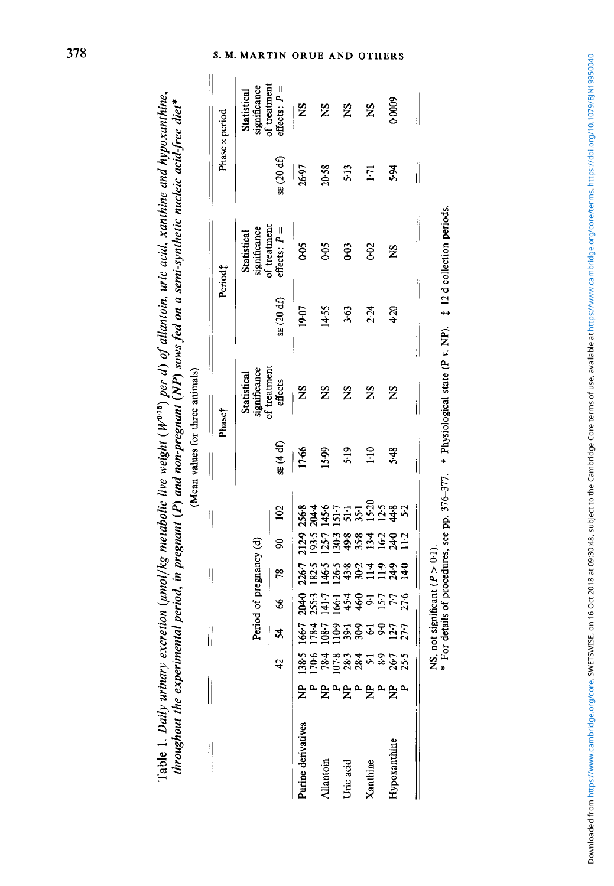|                   |                 |                                                                                |                                                                        |       |                                                                 |                                                                                                  |                                                                   |               | Phase <sup>+</sup>          |           | Period <sub>4</sub>           |            | Phase x period                              |
|-------------------|-----------------|--------------------------------------------------------------------------------|------------------------------------------------------------------------|-------|-----------------------------------------------------------------|--------------------------------------------------------------------------------------------------|-------------------------------------------------------------------|---------------|-----------------------------|-----------|-------------------------------|------------|---------------------------------------------|
|                   |                 |                                                                                |                                                                        |       | Period of pregnancy (d)                                         |                                                                                                  |                                                                   |               | significance<br>Statistical |           | significance<br>Statistical   |            | of treatment<br>Statistical<br>significance |
|                   |                 |                                                                                | 24                                                                     | \$    | 78                                                              | S)                                                                                               | 102                                                               | SE(4 df)      | of treatment<br>effects     | SE(20 df) | of treatment<br>$flects: P =$ | SE (20 df) | $effeets: P =$                              |
| urine derivatives |                 |                                                                                |                                                                        | 204-0 | 226.7                                                           |                                                                                                  | 212-9 256-8                                                       | 17.66         | $\frac{8}{2}$               | 19-07     | 60 <sub>0</sub>               | 26.97      | Ž                                           |
| llantoin          |                 |                                                                                |                                                                        |       |                                                                 |                                                                                                  |                                                                   | 15.99         | $\tilde{\mathbf{z}}$        | 14.55     | 60 <sub>0</sub>               | 20.58      | ž                                           |
| Jric acid         |                 |                                                                                |                                                                        |       |                                                                 |                                                                                                  |                                                                   | 5.19          | ž                           | 3.63      | 69                            | 513        | ž                                           |
| <b>Kanthine</b>   | <b>g</b> ግይግይግይ | $138.5$<br>$125.5$<br>$15.5$<br>$15.5$<br>$15.5$<br>$15.5$<br>$15.5$<br>$15.5$ | <b>1967</b><br>1987 - 1987<br>1987 - 1988 - 1987<br>1987 - 1988 - 1988 |       | $\frac{855}{24524}$<br>$\frac{853}{4324}$<br>$\frac{271}{4324}$ | $9.57$<br>$9.79$<br>$9.79$<br>$9.79$<br>$9.71$<br>$9.71$<br>$9.71$<br>$9.71$<br>$9.71$<br>$1.71$ | $285 - 7 - 855$<br>$25 - 7 - 855$<br>$25 - 7 - 855$<br>$25 - 855$ | $\frac{1}{2}$ | Ž                           | 2.24      | 0.02                          | 1.71       | SN                                          |
| Iypoxanthine      |                 |                                                                                |                                                                        |       |                                                                 |                                                                                                  |                                                                   | 5.48          | Ž                           | 4.20      | ž                             | 5.94       | 0.0009                                      |

throughout the experimental period, in pregnant (P) and non-pregnant (NP) sows fed on a semi-synthetic nucleic acid-free diet\* *throughout the experimental period, in pregnant (P) and non-pregnant (NP) sows fed on a semi-synthetic nucleic acid-free diet\**  (Mean values for three animals) (Mean values for three animals)

Table 1. *Daily urinary excretion (umol/kg metabolic live weight (W<sup>o,75</sup>) per d) of allantoin, uric acid, xanthine and hypoxanthine,* 

Table 1. Daily urinary excretion (umol/kg metabolic live weight ( $W^{o,19}$ ) per d) of allantoin, uric acid, xanthine and hypoxanthine,

NS, not significant  $(P > 0.1)$ .

NS, not significant  $(P > 0.1)$ .<br>\* For details of procedures, see pp. 376-377. † Physiological state  $(P v, NP)$ .  $\ddagger$  12 d collection periods.  $*$  For details of procedures, see pp. 376-377.  $t$  Physiological state (P *v*. NP).  $\ddagger$  12 d collection periods.

# S. M. MARTIN ORUE AND OTHERS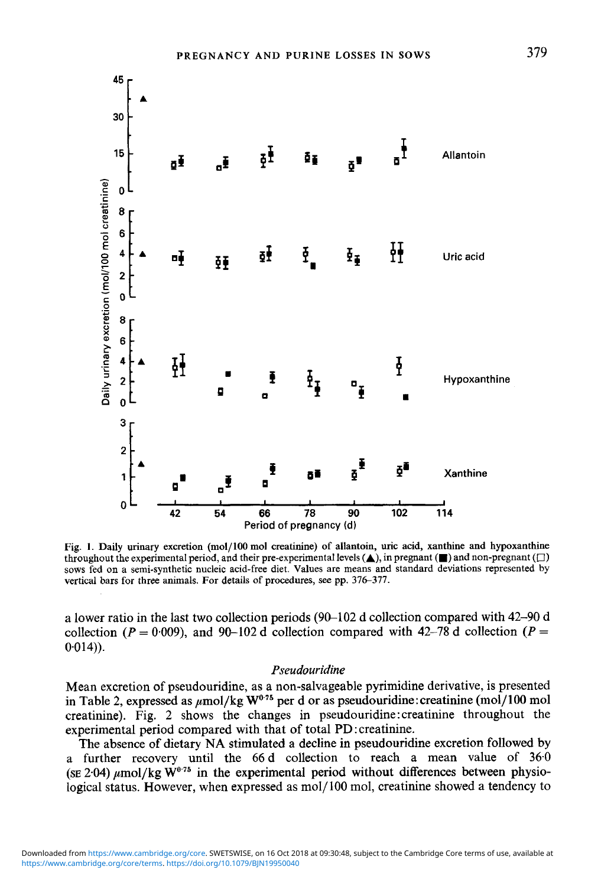45

30

15

 $\mathbf 0$ 

6

4

 $\overline{2}$  $\mathbf 0$ 8 6

4

 $\overline{2}$ 

 $\mathbf 0$ 3

Daily urinary excretion (mol/100 mol creatinine)





**Fig. 1. Daily urinary excretion (mol/ 100 mol creatinine) of allantoin, uric acid, xanthine and hypoxanthine throughout the experimental period, and their pre-experimental levels**  $(\triangle)$ **, in pregnant**  $(\square)$  **and non-pregnant**  $(\square)$ **sows fed on a semi-synthetic nucleic acid-free diet. Values are means and standard deviations represented by**  vertical bars for three animals. For details of procedures, see pp. 376–377.

a lower ratio in the last two collection periods (90-102 d collection compared with 42-90 d collection  $(P = 0.009)$ , and 90-102 d collection compared with 42-78 d collection  $(P = 0.009)$  $0.014$ ).

### *Pseudouridine*

Mean excretion of pseudouridine, as a non-salvageable pyrimidine derivative, is presented in Table 2, expressed as  $\mu$ mol/kg W<sup>0.75</sup> per d or as pseudouridine: creatinine (mol/100 mol creatinine). Fig. 2 shows the changes in pseudouridine : creatinine throughout the experimental period compared with that of total PD : creatinine.

The absence of dietary **NA** stimulated a decline in pseudouridine excretion followed by a further recovery until the *66* d collection to reach a mean value of **36.0**  (SE 2.04)  $\mu$ mol/kg W<sup>0.75</sup> in the experimental period without differences between physiological status. However, when expressed as mo1/100 mol, creatinine showed a tendency to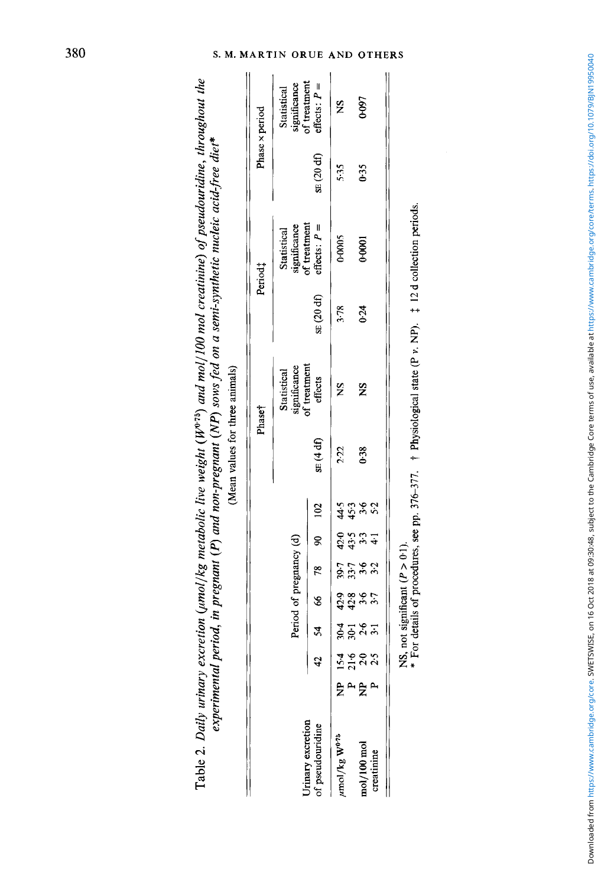|                                       |                |                                          |       |                         |              |                |                |        | Phaset                      |           | Period <sub>1</sub>            |                         | Phase x period                |
|---------------------------------------|----------------|------------------------------------------|-------|-------------------------|--------------|----------------|----------------|--------|-----------------------------|-----------|--------------------------------|-------------------------|-------------------------------|
|                                       |                |                                          |       | Period of pregnancy (d) |              |                |                |        | significance<br>Statistical |           | significance<br>Statistical    |                         | significance<br>Statistical   |
| Jrinary excretion<br>of pseudouridine |                |                                          |       |                         | 66 78 90 102 |                |                | SE(4d) | of treatment<br>effects     | SE(20 df) | of treatment<br>effects: $P =$ | $\Omega(20 \text{ d}f)$ | of treatment<br>$flects: P =$ |
| mol/kg $W^{0.75}$                     | .<br>E         |                                          |       |                         |              |                |                | 2.22   | $\frac{8}{2}$               | 3.78      | 0.0005                         | 5.35                    | S                             |
|                                       | $\overline{a}$ |                                          |       |                         | 857<br>857   | 445.3<br>445.9 |                |        |                             |           |                                |                         |                               |
| nol/100 mol                           | $rac{a}{b}$    | ។ <b>១</b> ១ ១<br>២ ភ្ន <sup>ុ</sup> ង ស | 88225 | ね st a u u<br>ひ ä a u u |              |                | ५५० ०<br>५५० ० | 0.38   | ž                           | 0.24      | 0.0001                         | 0.35                    | 0-097                         |
| creatinine                            |                |                                          |       |                         | 3.2          | $\ddot{+}$     |                |        |                             |           |                                |                         |                               |

*experimental period, in pregnant (P) and non-pregnant (NP) sows fed on a semi-synthetic nucleic acid-free diet\** $\varphi$ Table 2. *Daily urinary excretion (umol/kg metabolic live weight (* $W^{o.75}$ *) and mol/100 mol creatinine) of pseudouridine, throughout the* Table 2. Daily urinary excretion (umol/kg metabolic live weight ( $W^{8,75}$ ) and mol/100 mol creatinine) of pseudouridine, throughout the experimental period, in pregnant (P) and non-pregnant (NP) sows fed on a semi-synthetic nucleic acid-free diet\*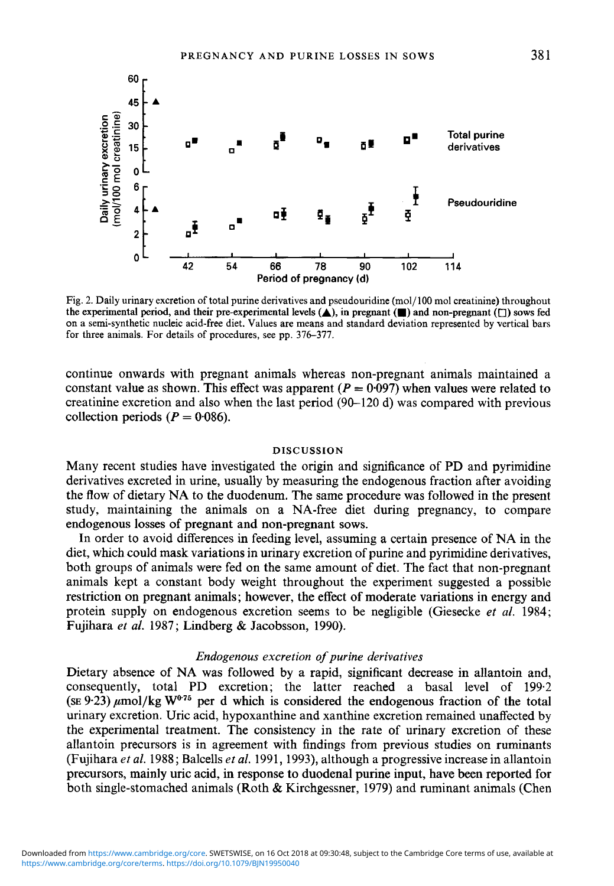

**Fig. 2. Daily urinary excretion of total purine derivatives and pseudouridine (mo1/100 mol creatinine) throughout the experimental period, and their pre-experimental levels (A), in pregnant (m) and non-pregnant** *(0)* **sows fed on a semi-synthetic nucleic acid-free diet. Values are means and standard deviation represented by vertical bars for three animals. For details of procedures, see pp. 376-377.** 

continue onwards with pregnant animals whereas non-pregnant animals maintained a constant value as shown. This effect was apparent  $(P = 0.097)$  when values were related to creatinine excretion and also when the last period **(90-120** d) was compared with previous collection periods  $(P = 0.086)$ .

### **DISCUSSION**

Many recent studies have investigated the origin and significance of PD and pyrimidine derivatives excreted in urine, usually by measuring the endogenous fraction after avoiding the flow of dietary **NA** to the duodenum. The same procedure was followed in the present study, maintaining the animals on a NA-free diet during pregnancy, to compare endogenous losses of pregnant and non-pregnant sows.

In order to avoid differences in feeding level, assuming a certain presence of NA in the diet, which could mask variations in urinary excretion of purine and pyrimidine derivatives, both groups of animals were fed on the same amount of diet. The fact that non-pregnant animals kept a constant body weight throughout the experiment suggested a possible restriction on pregnant animals; however, the effect of moderate variations in energy and protein supply on endogenous excretion seems to be negligible (Giesecke **et** *al.* **1984;**  Fujihara *et* **al. 1987;** Lindberg & Jacobsson, **1990).** 

### *Endogenous excretion of purine derivatives*

Dietary absence of **NA** was followed by a rapid, significant decrease in allantoin and, consequently, total PD excretion; the latter reached a basal level of **199.2**   $(\text{SE } 9.23) \mu \text{mol/kg W}^{0.75}$  per d which is considered the endogenous fraction of the total urinary excretion. Uric acid, hypoxanthine and xanthine excretion remained unaffected by the experimental treatment. The consistency in the rate of urinary excretion of these allantoin precursors is in agreement with findings from previous studies on ruminants (Fujihara *et al.* **1988;** Balcells *et al.* **1991, 1993),** although a progressive increase in allantoin precursors, mainly uric acid, in response to duodenal purine input, have been reported for both single-stomached animals (Roth & Kirchgessner, **1979)** and ruminant animals (Chen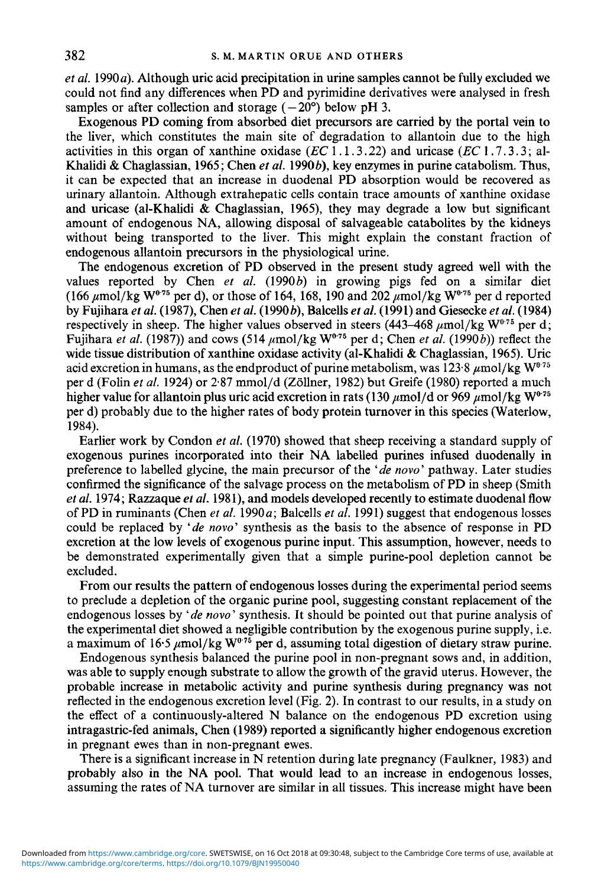$et al. 1990a$ ). Although uric acid precipitation in urine samples cannot be fully excluded we could not find any differences when **PD** and pyrimidine derivatives were analysed in fresh samples or after collection and storage  $(-20^{\circ})$  below pH 3.

Exogenous **PD** coming from absorbed diet precursors are carried by the portal vein to the liver, which constitutes the main site of degradation to allantoin due to the high activities in this organ of xanthine oxidase  $(EC\ 1.1.3.22)$  and uricase  $(EC\ 1.7.3.3)$ ; al-Khalidi & Chaglassian, 1965; Chen *et al.* 1990b), key enzymes in purine catabolism. Thus, it can be expected that an increase in duodenal **PD** absorption would be recovered as urinary allantoin. Although extrahepatic cells contain trace amounts of xanthine oxidase and uricase (al-Khalidi & Chaglassian, 1965), they may degrade a low but significant amount of endogenous **NA,** allowing disposal of salvageable catabolites by the kidneys without being transported to the liver. This might explain the constant fraction of endogenous allantoin precursors in the physiological urine.

The endogenous excretion of **PD** observed in the present study agreed well with the values reported by Chen *et al.* (1990b) in growing pigs fed on a similar diet (166  $\mu$ mol/kg W<sup>0-75</sup> per d), or those of 164, 168, 190 and 202  $\mu$ mol/kg W<sup>0-75</sup> per d reported by Fujihara *et ul.* (1987), Chen *et al.* (1990b), Balcells *et ul.* (1991) and Giesecke *et al.* (1984) respectively in sheep. The higher values observed in steers (443–468  $\mu$ mol/kg W<sup>075</sup> per d; Fujihara *et al.* (1987)) and cows (514 ,umol/kg **W0'75** per d; Chen *et al.* (1990b)) reflect the wide tissue distribution of xanthine oxidase activity (al-Khalidi & Chaglassian, 1965). Uric acid excretion in humans, as the endproduct of purine metabolism, was  $123.8 \mu$  mol/kg  $W^{\alpha_{75}}$ per d (Folin *et al.* 1924) or 2.87 mmol/d (Zollner, 1982) but Greife (1980) reported a much higher value for allantoin plus uric acid excretion in rats (130  $\mu$ mol/d or 969  $\mu$ mol/kg W<sup>075</sup> per d) probably due to the higher rates of body protein turnover in ths species (Waterlow, 1984).

Earlier work by Condon *et al.* (1970) showed that sheep receiving a standard supply of exogenous purines incorporated into their **NA** labelled purines infused duodenally in preference to labelled glycine, the main precursor of the *'de novo'* pathway. Later studies confirmed the significance of the salvage process on the metabolism of PD in sheep (Smith *et al.* 1974; Razzaque *el al.* 1981), and models developed recently to estimate duodenal flow of PD in ruminants (Chen *et al.* 1990*a*; Balcells *et al.* 1991) suggest that endogenous losses could be replaced by *'de now'* synthesis as the basis to the absence of response in **PD**  excretion at the low levels of exogenous purine input. This assumption, however, needs to be demonstrated experimentally gven that a simple purine-pool depletion cannot be excluded.

From our results the pattern of endogenous losses during the experimental period seems to preclude a depletion of the organic purine pool, suggesting constant replacement of the endogenous losses by *'de novo'* synthesis. It should be pointed out that purine analysis of the experimental diet showed a negligible contribution by the exogenous purine supply, i.e. a maximum of 16.5  $\mu$ mol/kg W<sup>0.75</sup> per d, assuming total digestion of dietary straw purine.

Endogenous synthesis balanced the purine pool in non-pregnant sows and, in addition, was able to supply enough substrate to allow the growth of the gravid uterus. However, the probable increase in metabolic activity and purine synthesis during pregnancy was not reflected in the endogenous excretion level (Fig. **2).** In contrast to our results, in a study on the effect of a continuously-altered N balance on the endogenous PD excretion using intragastric-fed animals, Chen (1989) reported a significantly higher endogenous excretion in pregnant ewes than in non-pregnant ewes.

There is a significant increase in N retention during late pregnancy (Faulkner, 1983) and probably also **in** the **NA** pool. That would lead to an increase in endogenous losses, assuming the rates of **NA** turnover are similar in all tissues. This increase might have been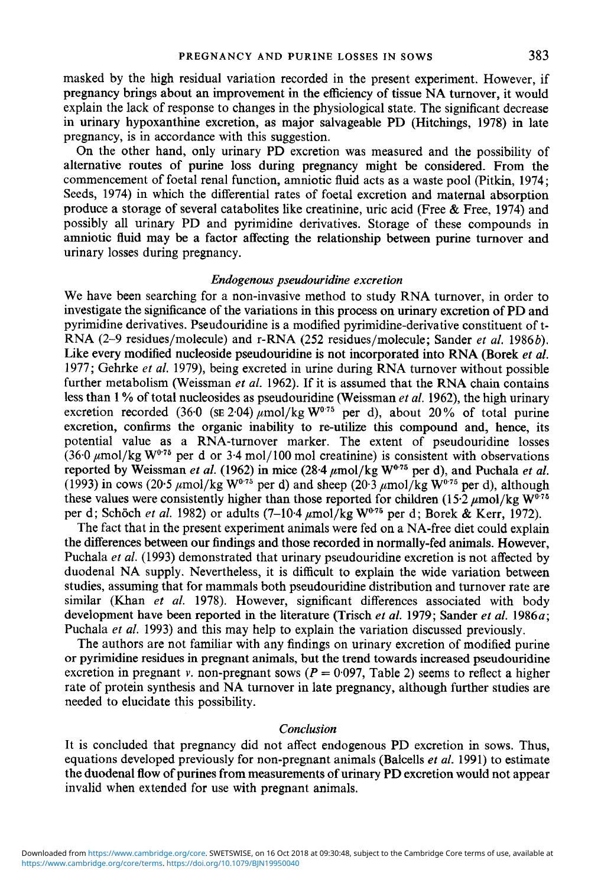masked by the high residual variation recorded in the present experiment. However, if pregnancy brings about an improvement in the efficiency of tissue NA turnover, it would explain the lack of response to changes in the physiological state. The significant decrease in urinary hypoxanthine excretion, as major salvageable PD (Hitchings, 1978) in late pregnancy, is in accordance with this suggestion.

On the other hand, only urinary PD excretion was measured and the possibility of alternative routes of purine loss during pregnancy might be considered. From the commencement of foetal renal function, amniotic fluid acts as a waste pool (Pitkin, 1974; Seeds, 1974) in which the differential rates of foetal excretion and maternal absorption produce a storage of several catabolites like creatinine, uric acid (Free & Free, 1974) and possibly all urinary PD and pyrimidine derivatives. Storage of these compounds in amniotic fluid may be a factor affecting the relationship between purine turnover and urinary losses during pregnancy.

### *Endogenous pseudouridine excretion*

We have been searching for a non-invasive method to study RNA turnover, in order to investigate the significance of the variations in this process on urinary excretion of **PD** and pyrimidine derivatives. Pseudouridine **is** a modified pyrimidine-derivative constituent of t-RNA (2-9 residues/molecule) and r-RNA *(252* residues/molecule; Sander *et al.* 1986 *b).*  Like every modified nucleoside pseudouridine **is** not incorporated into RNA (Borek *et al.*  1977; Gehrke *et al.* 1979), being excreted in urine during RNA turnover without possible further metabolism (Weissman *et al.* 1962). If it is assumed that the RNA chain contains less than 1 % of total nucleosides as pseudouridine (Weissman *et al.* 1962), the high urinary excretion recorded (36.0 (SE 2.04)  $\mu$ mol/kg W<sup>0.75</sup> per d), about 20% of total purine excretion, confirms the organic inability to re-utilize this compound and, hence, its potential value as a RNA-turnover marker. The extent of pseudouridine losses (36.0  $\mu$ mol/kg W<sup>0.75</sup> per d or 3.4 mol/100 mol creatinine) is consistent with observations reported by Weissman *et al.* (1962) in mice  $(28.4 \mu \text{mol/kg W}^{0.75} \text{ per d})$ , and Puchala *et al.* (1993) in cows (20.5  $\mu$ mol/kg W<sup>0.75</sup> per d) and sheep (20.3  $\mu$ mol/kg W<sup>0.75</sup> per d), although these values were consistently higher than those reported for children  $(15.2 \mu \text{mol/kg W}^{0.75})$ per d; Schöch *et al.* 1982) or adults  $(7-10.4 \mu \text{mol/kg W}^{0.75}$  per d; Borek & Kerr, 1972).

The fact that in the present experiment animals were fed on a NA-free diet could explain the differences between our findings and those recorded in normally-fed animals. However, Puchala *et al.* (1993) demonstrated that urinary pseudouridine excretion is not affected by duodenal NA supply. Nevertheless, it is difficult to explain the wide variation between studies, assuming that for mammals both pseudouridine distribution and turnover rate are similar (Khan *et al.* 1978). However, significant differences associated with body development have been reported in the literature (Trisch et al. 1979; Sander et al. 1986a; Puchala *et al.* 1993) and this may help to explain the variation discussed previously.

The authors are not familiar with any findings on urinary excretion of modified purine or pyrimidine residues in pregnant animals, but the trend towards increased pseudouridine excretion in pregnant *v.* non-pregnant sows  $(P = 0.097, \text{ Table 2})$  seems to reflect a higher rate of protein synthesis and NA turnover in late pregnancy, although further studies are needed to elucidate this possibility.

#### *Conclusion*

It is concluded that pregnancy did not affect endogenous PD excretion in sows. Thus, equations developed previously for non-pregnant animals (Balcells *et al.* 1991) to estimate the duodenal flow of purines from measurements of urinary **PD** excretion would not appear invalid when extended for use with pregnant animals.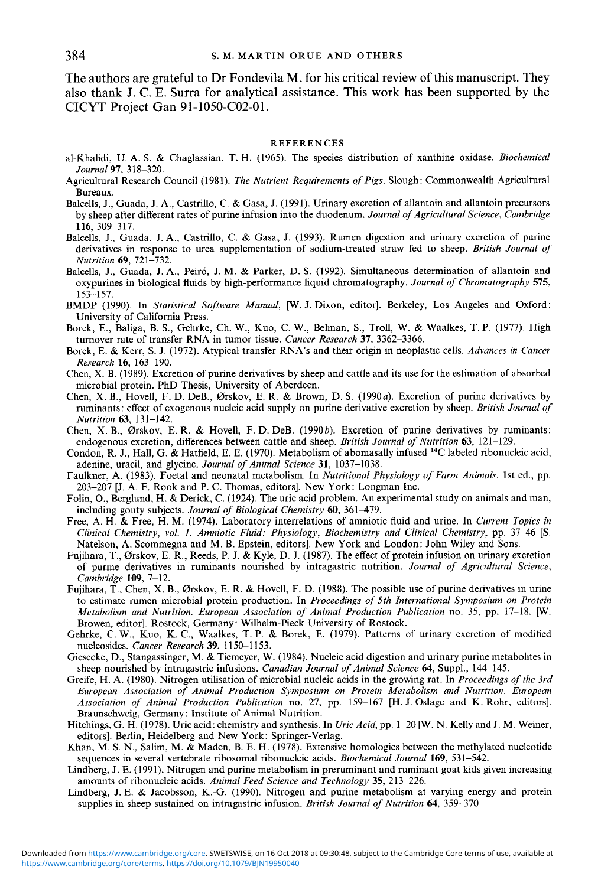The authors are grateful to Dr Fondevila **M.** for his critical review of this manuscript. They also thank **J. C.** E. Surra for analytical assistance. This **work** has been supported by the CICYT Project Gan 91-1050-C02-01.

#### **REFERENCES**

- al-Khalidi. U. A. S. & Chaglassian, T. H. (1965). The species distribution of xanthine oxidase. *Biochemical Journal* **97,** 3 18-320.
- Agricultural Research Council (1981). *The Nutrient Requirements of Pigs*. Slough: Commonwealth Agricultural Bureaux.
- Balcells, J., Guada, **J.** A,, Castrillo, C. & Gasa, J. (1991). Urinary excretion of allantoin and allantoin precursors by sheep after different rates of purine infusion into the duodenum. *Journal of Agricultural Science, Cambridge*  **116,** 309-3 17.
- Balcells, J., Guada, **J.** A,, Castrillo, C. & Gasa, **J.** (1993). Rumen digestion and urinary excretion of purine derivatives in response to urea supplementation of sodium-treated straw fed to sheep. *British Journal of Nutrition 69,* 721-732.
- Balcells, J., Guada, **J.** A,, Peiro, J. M. & Parker, D. **S.** (1992). Simultaneous determination of allantoin and oxypurines in biological fluids by high-performance liquid chromatography. *Journal of Chromatography* **575,**  153-157.
- BMDP (1990). In *Statistical Software Manual,* [w. J. Dixon, editor]. Berkeley, Los Angeles and Oxford: University of California Press.
- Borek, E., Baliga, B. **S.,** Gehrke, Ch. W., Kuo, C. W., Belman, **S.,** Troll, W. & Waalkes, T. P. (1977). High turnover rate of transfer RNA in tumor tissue. *Cancer Research* **37,** 3362-3366.
- Borek, E. & Kerr, **S.** J. (1972). Atypical transfer RNA's and their origin in neoplastic cells. *Advances in Cancer Research* **16,** 163-190.
- Chen, **X.** B. (1989). Excretion of purine derivatives by sheep and cattle and its use for the estimation of absorbed microbial protein. PhD Thesis, University of Aberdeen.
- Chen, **X.** B., Hovell, F. D. DeB., Orskov, E. R. & Brown, D. **S.** (1990a). Excretion of purine derivatives by ruminants: effect of exogenous nucleic acid supply on purine derivative excretion by sheep. *British Journal of Nutrition* **63,** 131-142.
- Chen, X. B., Ørskov, E. R. & Hovell, F. D. DeB. (1990b). Excretion of purine derivatives by ruminants: endogenous excretion, differences between cattle and sheep. *British Journal of Nutrition* **63,** 121-129.
- Condon, R. J., Hall, *G.* & Hatfield, E. E. (1970). Metabolism of abomasally infused 14C labeled ribonucleic acid, adenine, uracil, and glycine. *Journal of Animal Science* **31,** 1037-1038.
- Faulkner, A. (1983). Foetal and neonatal metabolism. In *Nutritional Physiology of Farm Animals.* 1st ed., pp. 203-207 [J. A. F. Rook and **P.** C. Thomas, editors]. New York: Longman Inc.
- Folin, O., Berglund, H. & Derick, C. (1924). The uric acid problem. An experimental study on animals and man, including gouty subjects. *Journal of Biological Chemistry* 60, 361-479.
- Free, A. H. & Free, H. **M.** (1974). Laboratory interrelations of amniotic fluid and urine. In *Current Topics in Clinical Chemistry, vol. 1. Amniotic Fluid: Physiology, Biochemistry and Clinical Chemistry,* pp. 3746 **[S.**  Natelson, A. Scommegna and M. B. Epstein, editors]. New York and London: John Wiley and Sons.
- Fujihara, T., Orskov, E. R., Reeds, P. **J.** & Kyle, D. **J.** (1987). The effect of protein infusion on urinary excretion of purine derivatives in ruminants nourished by intragastric nutrition. *Journal of Agricultural Science, Cambridge* **109,** 7-12.
- Fujihara, T., Chen, **X.** B., Orskov, E. R. & Hovell, F. D. (1988). The possible use of purine derivatives in urine to estimate rumen microbial protein production. In *Proceedings of 5th International Symposium on Protein Metabolism and Nutrition. European Association of Animal Production Publication* no. 35. pp. 17-18. [W. Browen, editor]. Rostock, Germany: Wilhelm-Pieck University of Rostock.
- Gehrke, C. W., Kuo, K. C., Waalkes, T. **P.** & Borek, E. (1979). Patterns of urinary excretion of modified nucleosides. *Cancer Research* **39,** 11 50-1 153.
- Giesecke, **D.,** Stangassinger, M. & Tiemeyer, W. (1984). Nucleic acid digestion and urinary purine metabolites in sheep nourished by intragastric infusions. *Canadian Journal of Animal Science* 64, Suppl., 144–145.
- Greife, H. A. (1980). Nitrogen utilisation of microbial nucleic acids in the growing rat. In *Proceedings of the 3rd European Association of Animal Production Symposium on Protein Metabolism and Nutrition. European Association of Animal Production Publication* no. 27, pp. 159-167 [H. **J.** Oslage and K. Rohr, editors]. Braunschweig, Germany : Institute of Animal Nutrition.
- Hitchings, G. H. (1978). Uric acid: chemistry and synthesis. In *Uric Acid,* pp. 1-20 [w. N. Kelly and **J.** M. Weiner, editors]. Berlin, Heidelberg and New York: Springer-Verlag.
- Khan, M. **S.** N., Salim, M. & Maden, B. E. H. (1978). Extensive homologies between the methylated nucleotide sequences in several vertebrate ribosomal ribonucleic acids. *Biochemical Journal* **169,** 53 1-542.
- Lindberg, **J.** E. (1991). Nitrogen and purine metabolism in preruminant and ruminant goat kids given increasing amounts of ribonucleic acids. *Animal Feed Science and Technology* **35,** 21 3-226.
- Lindberg, **J.** E. & Jacobsson, K.-G. (1990). Nitrogen and purine metabolism at varying energy and protein supplies in sheep sustained on intragastric infusion. *British Journal of Nutrition* **64,** 359-370.